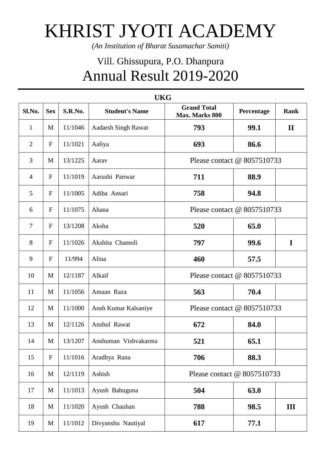## KHRIST JYOTI ACADEMY

*(An Institution of Bharat Susamachar Samiti)*

## Vill. Ghissupura, P.O. Dhanpura Annual Result 2019-2020

| <b>UKG</b>     |              |         |                            |                                      |            |              |  |  |  |  |
|----------------|--------------|---------|----------------------------|--------------------------------------|------------|--------------|--|--|--|--|
| Sl.No.         | <b>Sex</b>   | S.R.No. | <b>Student's Name</b>      | <b>Grand Total</b><br>Max. Marks 800 | Percentage | <b>Rank</b>  |  |  |  |  |
| $\mathbf{1}$   | M            | 11/1046 | <b>Aadarsh Singh Rawat</b> | 793                                  | 99.1       | $\mathbf{I}$ |  |  |  |  |
| $\overline{2}$ | $\mathbf F$  | 11/1021 | Aaliya                     | 693                                  | 86.6       |              |  |  |  |  |
| 3              | M            | 13/1225 | Aarav                      | Please contact $@$ 8057510733        |            |              |  |  |  |  |
| $\overline{4}$ | $\mathbf{F}$ | 11/1019 | Aarushi Panwar             | 711                                  | 88.9       |              |  |  |  |  |
| 5              | $\mathbf{F}$ | 11/1005 | Adiba Ansari               | 758                                  | 94.8       |              |  |  |  |  |
| 6              | $\mathbf{F}$ | 11/1075 | Ahana                      | Please contact @ 8057510733          |            |              |  |  |  |  |
| $\overline{7}$ | $\mathbf{F}$ | 13/1208 | Aksha                      | 520                                  | 65.0       |              |  |  |  |  |
| 8              | $\mathbf F$  | 11/1026 | Akshita Chamoli            | 797                                  | 99.6       | $\mathbf I$  |  |  |  |  |
| 9              | $\mathbf{F}$ | 11/994  | Alina                      | 460                                  | 57.5       |              |  |  |  |  |
| 10             | M            | 12/1187 | Alkaif                     | Please contact @ 8057510733          |            |              |  |  |  |  |
| 11             | M            | 11/1056 | Amaan Raza                 | 563                                  | 70.4       |              |  |  |  |  |
| 12             | M            | 11/1000 | Ansh Kumar Kalsaniye       | Please contact $@$ 8057510733        |            |              |  |  |  |  |
| 13             | M            | 12/1126 | Anshul Rawat               | 672                                  | 84.0       |              |  |  |  |  |
| 14             | $\mathbf{M}$ | 13/1207 | Anshuman Vishvakarma       | 521                                  | 65.1       |              |  |  |  |  |
| 15             | $\mathbf F$  | 11/1016 | Aradhya Rana               | 706                                  | 88.3       |              |  |  |  |  |
| 16             | M            | 12/1119 | Ashish                     | Please contact @ 8057510733          |            |              |  |  |  |  |
| 17             | $\mathbf{M}$ | 11/1013 | Ayush Bahuguna             | 504                                  | 63.0       |              |  |  |  |  |
| 18             | $\mathbf M$  | 11/1020 | Ayush Chauhan              | 788                                  | 98.5       | III          |  |  |  |  |
| 19             | M            | 11/1012 | Divyanshu Nautiyal         | 617                                  | 77.1       |              |  |  |  |  |